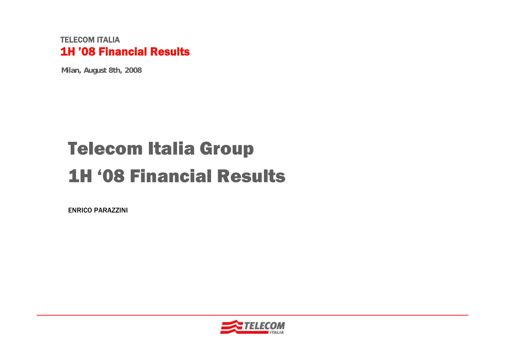**Milan, August 8th, 2008**

# Telecom Italia Group 1H '08 Financial Results

ENRICO PARAZZINI

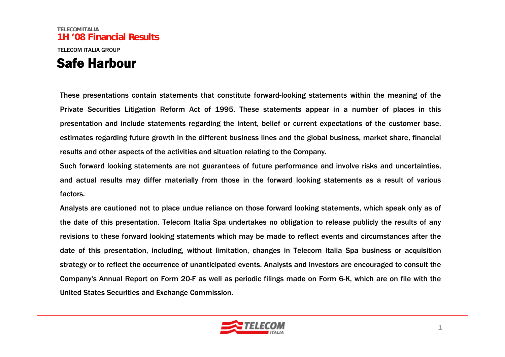### **TELECOM ITALIA1H '08 Financial Results**TELECOM ITALIA GROUPSafe Harbour

These presentations contain statements that constitute forward-looking statements within the meaning of the Private Securities Litigation Reform Act of 1995. These statements appear in a number of places in this presentation and include statements regarding the intent, belief or current expectations of the customer base, estimates regarding future growth in the different business lines and the global business, market share, financial results and other aspects of the activities and situation relating to the Company.

Such forward looking statements are not guarantees of future performance and involve risks and uncertainties, and actual results may differ materially from those in the forward looking statements as a result of various factors.

Analysts are cautioned not to place undue reliance on those forward looking statements, which speak only as of the date of this presentation. Telecom Italia Spa undertakes no obligation to release publicly the results of any revisions to these forward looking statements which may be made to reflect events and circumstances after the date of this presentation, including, without limitation, changes in Telecom Italia Spa business or acquisition strategy or to reflect the occurrence of unanticipated events. Analysts and investors are encouraged to consult the Company's Annual Report on Form 20-F as well as periodic filings made on Form 6-K, which are on file with the United States Securities and Exchange Commission.

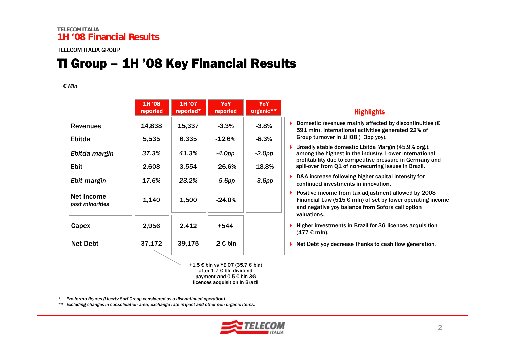### TI Group – 1H '08 Key Financial Results

#### *€ Mln*

|                               | 1H '08<br>reported | 1H '07<br>reported* | YoY<br>reported                                                                                                                | YoY<br>organic** | <b>Highlights</b>                                                                                                                                                                             |
|-------------------------------|--------------------|---------------------|--------------------------------------------------------------------------------------------------------------------------------|------------------|-----------------------------------------------------------------------------------------------------------------------------------------------------------------------------------------------|
| <b>Revenues</b>               | 14,838             | 15,337              | $-3.3%$                                                                                                                        | $-3.8%$          | Domestic revenues mainly affected by discontinuities ( $\epsilon$<br>591 mln). International activities generated 22% of                                                                      |
| Ebitda                        | 5,535              | 6,335               | $-12.6%$                                                                                                                       | $-8.3%$          | Group turnover in 1H08 (+3pp yoy).                                                                                                                                                            |
| Ebitda margin                 | 37.3%              | 41.3%               | $-4.0$ pp                                                                                                                      | $-2.0pp$         | Broadly stable domestic Ebitda Margin (45.9% org.),<br>among the highest in the industry. Lower international<br>profitability due to competitive pressure in Germany and                     |
| <b>Ebit</b>                   | 2,608              | 3,554               | $-26.6%$                                                                                                                       | $-18.8%$         | spill-over from Q1 of non-recurring issues in Brazil.                                                                                                                                         |
| Ebit margin                   | 17.6%              | 23.2%               | $-5.6pp$                                                                                                                       | $-3.6$ pp        | D&A increase following higher capital intensity for<br>continued investments in innovation.                                                                                                   |
| Net Income<br>post minorities | 1,140              | 1,500               | $-24.0%$                                                                                                                       |                  | Positive income from tax adjustment allowed by 2008<br>Financial Law (515 $\epsilon$ mln) offset by lower operating income<br>and negative yoy balance from Sofora call option<br>valuations. |
| Capex                         | 2,956              | 2,412               | +544                                                                                                                           |                  | Higher investments in Brazil for 3G licences acquisition<br>$(477 \text{ } \in \text{mln}).$                                                                                                  |
| <b>Net Debt</b>               | 37,172             | 39,175              | -2 € bln                                                                                                                       |                  | Net Debt yoy decrease thanks to cash flow generation.                                                                                                                                         |
|                               |                    |                     | +1.5 € bln vs YE'07 (35.7 € bln)<br>after 1.7 € bln dividend<br>payment and $0.5 \in$ bln 3G<br>licences acquisition in Brazil |                  |                                                                                                                                                                                               |

*\* Pro-forma figures (Liberty Surf Group considered as a discontinued operation).*

*\*\* Excluding changes in consolidation area, exchange rate impact and other non organic items.* 

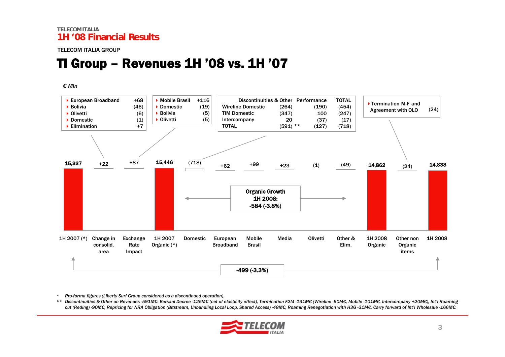### TI Group – Revenues 1H '08 vs. 1H '07

#### *€ Mln*



*\* Pro-forma figures (Liberty Surf Group considered as a discontinued operation).*

\*\* Discontinuities & Other on Revenues -591M€: Bersani Decree -125M€ (net of elasticity effect), Termination F2M -131M€ (Wireline -50M€, Mobile -101M€, Intercompany +20M€), Int'l Roaming cut (Reding) -90MC, Repricing for NRA Obligation (Bitstream, Unbundling Local Loop, Shared Access) -48MC, Roaming Renegotiation with H3G-31MC, Carry forward of Int'l Wholesale -166MC.

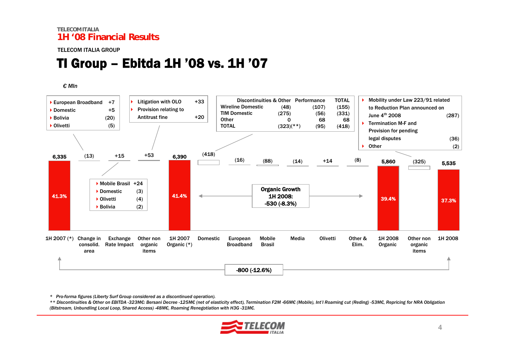#### TELECOM ITALIA GROUP

### TI Group – Ebitda 1H '08 vs. 1H '07

#### *€ Mln*



*\* Pro-forma figures (Liberty Surf Group considered as a discontinued operation).*

\*\* Discontinuities & Other on EBITDA -323M€: Bersani Decree -125M€ (net of elasticity effect), Termination F2M -66M€ (Mobile), Int'l Roaming cut (Reding) -53M€, Repricing for NRA Obligation *(Bitstream, Unbundling Local Loop, Shared Access) -48M€, Roaming Renegotiation with H3G -31M€.*

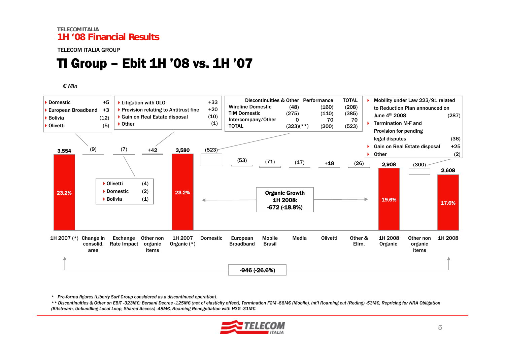#### TELECOM ITALIA GROUP

### TI Group – Ebit 1H '08 vs. 1H '07

#### *€ Mln*



*\* Pro-forma figures (Liberty Surf Group considered as a discontinued operation).*

\*\* Discontinuities & Other on EBIT -323M€: Bersani Decree -125M€ (net of elasticity effect), Termination F2M -66M€ (Mobile), Int'l Roaming cut (Reding) -53M€, Repricing for NRA Obligation *(Bitstream, Unbundling Local Loop, Shared Access) -48M€, Roaming Renegotiation with H3G -31M€.*

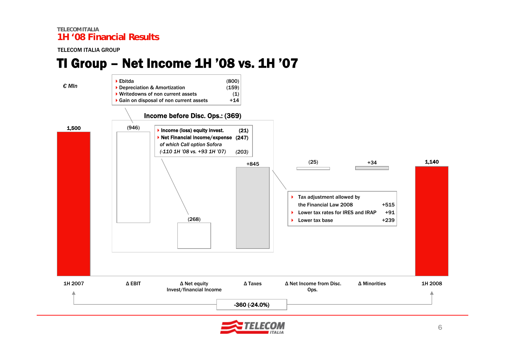#### TELECOM ITALIA GROUP

### TI Group – Net Income 1H '08 vs. 1H '07



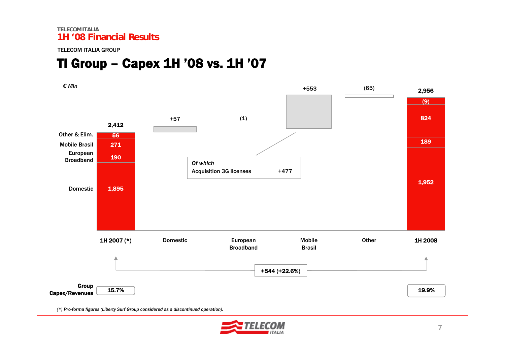TELECOM ITALIA GROUP

### TI Group – Capex 1H '08 vs. 1H '07



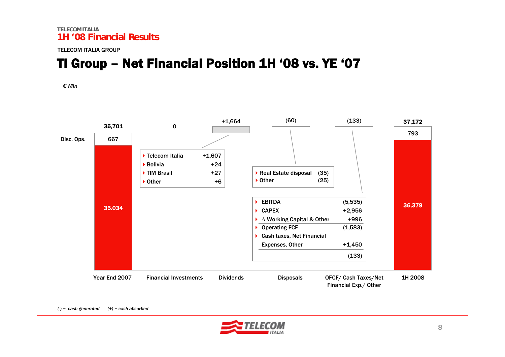TELECOM ITALIA GROUP

## TI Group – Net Financial Position 1H '08 vs. YE '07

*€ Mln*



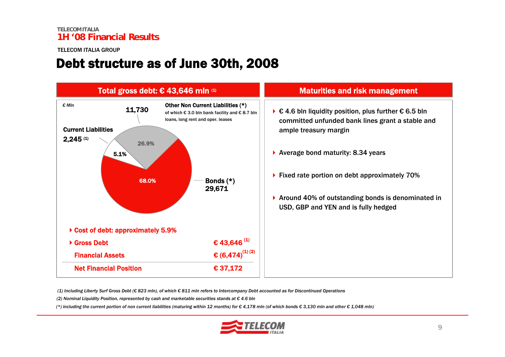### Debt structure as of June 30th, 2008



(1) Including Liberty Surf Gross Debt (€ 823 mln), of which € 811 mln refers to Intercompany Debt accounted as for Discontinued Operations

*(2) Nominal Liquidity Position, represented by cash and marketable securities stands at € 4.6 bln*

(\*) including the current portion of non current liabilities (maturing within 12 months) for € 4,178 mln (of which bonds € 3,130 mln and other € 1,048 mln)

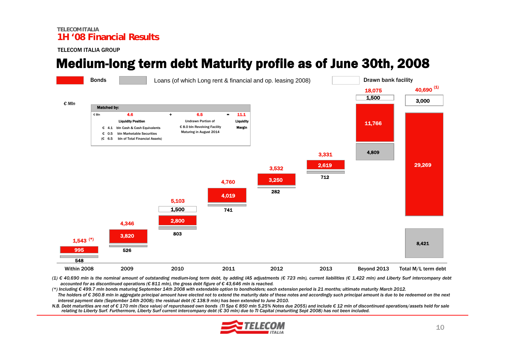## Medium-long term debt Maturity profile as of June 30th, 2008



(1) € 40,690 mln is the nominal amount of outstanding medium-long term debt, by adding IAS adjustments (€ 723 mln), current liabilities (€ 1,422 mln) and Liberty Surf intercompany debt *accounted for as discontinued operations (€ 811 mln), the gross debt figure of € 43,646 mln is reached.*

(\*) Including € 499.7 mln bonds maturing September 14th 2008 with extendable option to bondholders; each extension period is 21 months; ultimate maturity March 2012. The holders of € 360.8 mln in aggregate principal amount have elected not to extend the maturity date of these notes and accordingly such principal amount is due to be redeemed on the next interest payment date (September 14th 2008); the residual debt ( $\epsilon$  138.9 mln) has been extended to June 2010.

N.B. Debt maturities are net of € 170 mln (face value) of repurchased own bonds (TI Spa € 850 mln 5.25% Notes due 2055) and include € 12 mln of discontinued operations/assets held for sale relating to Liberty Surf. Furthermore, Liberty Surf current intercompany debt ( $\epsilon$  30 mln) due to TI Capital (maturiting Sept 2008) has not been included.

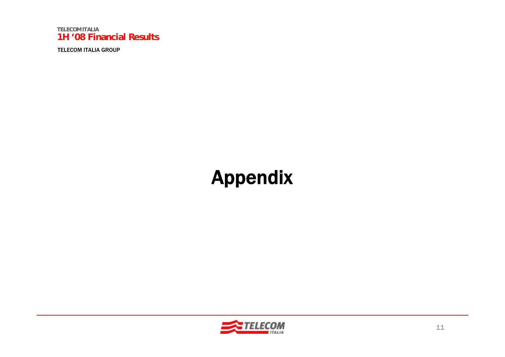

# Appendix

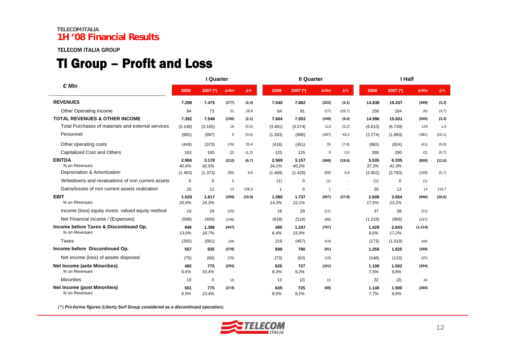#### TELECOM ITALIA GROUP

### TI Group – Profit and Loss

|                                                         |                | I Quarter      |              |            |                | <b>II Quarter</b> |                |            | I Half         |                |              |            |  |
|---------------------------------------------------------|----------------|----------------|--------------|------------|----------------|-------------------|----------------|------------|----------------|----------------|--------------|------------|--|
| $\epsilon$ Mln                                          |                | 2007 (*)       | $\Delta$ Abs | $\Delta\%$ | 2008           | 2007 (*)          | $\Delta$ Abs   | $\Delta\%$ | 2008           | 2007 $(*)$     | $\Delta$ Abs | $\Delta\%$ |  |
| <b>REVENUES</b>                                         | 7.298          | 7.475          | (177)        | (2, 4)     | 7.540          | 7.862             | (322)          | (4,1)      | 14.838         | 15.337         | (499)        | (3,3)      |  |
| Other Operating Income                                  | 94             | 73             | 21           | 28,8       | 64             | 91                | (27)           | (29,7)     | 158            | 164            | (6)          | (3,7)      |  |
| <b>TOTAL REVENUES &amp; OTHER INCOME</b>                | 7.392          | 7.548          | (156)        | (2,1)      | 7.604          | 7.953             | (349)          | (4, 4)     | 14.996         | 15.501         | (505)        | (3,3)      |  |
| Total Purchases of materials and external services      | (3.149)        | (3.165)        | 16           | (0,5)      | (3.461)        | (3.574)           | 113            | (3,2)      | (6.610)        | (6.739)        | 129          | 1,9        |  |
| Personnel                                               | (991)          | (997)          | 6            | (0,6)      | (1.283)        | (896)             | (387)          | 43,2       | (2.274)        | (1.893)        | (381)        | (20,1)     |  |
| Other operating costs                                   | (449)          | (373)          | (76)         | 20,4       | (416)          | (451)             | 35             | (7,8)      | (865)          | (824)          | (41)         | (5,0)      |  |
| Capitalized Cost and Others                             | 163            | 165            | (2)          | (1,2)      | 125            | 125               | $\mathsf 0$    | 0,0        | 288            | 290            | (2)          | (0,7)      |  |
| <b>EBITDA</b><br>% on Revenues                          | 2.966<br>40,6% | 3.178<br>42,5% | (212)        | (6,7)      | 2.569<br>34,1% | 3.157<br>40,2%    | (588)          | (18, 6)    | 5.535<br>37,3% | 6.335<br>41,3% | (800)        | (12, 6)    |  |
| Depreciation & Amortization                             | (1.463)        | (1.373)        | (90)         | 6,6        | (1.489)        | (1.420)           | (69)           | 4,9        | (2.952)        | (2.793)        | (159)        | (5,7)      |  |
| Writedowns and revaluations of non current assets       | $\mathbf 0$    | $\mathbf 0$    | $\mathbf 0$  |            | (1)            | $\mathbf 0$       | (1)            |            | (1)            | $\mathbf 0$    | (1)          |            |  |
| Gains/losses of non current assets realization          | 25             | 12             | 13           | 108,3      | $\overline{1}$ | $\mathbf 0$       | $\overline{1}$ |            | 26             | 12             | 14           | 116,7      |  |
| <b>EBIT</b><br>% on Revenues                            | 1.528<br>20,9% | 1.817<br>24,3% | (289)        | (15, 9)    | 1.080<br>14,3% | 1.737<br>22,1%    | (657)          | (37,8)     | 2.608<br>17,6% | 3.554<br>23,2% | (946)        | (26, 6)    |  |
| Income (loss) equity invest. valued equity method       | 19             | 29             | (10)         |            | 18             | 29                | (11)           |            | 37             | 58             | (21)         |            |  |
| Net Financial Income / (Expenses)                       | (598)          | (450)          | (148)        |            | (618)          | (519)             | (99)           |            | (1.216)        | (969)          | (247)        |            |  |
| Income before Taxes & Discontinued Op.<br>% on Revenues | 949<br>13,0%   | 1.396<br>18,7% | (447)        |            | 480<br>6,4%    | 1.247<br>15,9%    | (767)          |            | 1.429<br>9,6%  | 2.643<br>17,2% | (1.214)      |            |  |
| Taxes                                                   | (392)          | (561)          | 169          |            | 219            | (457)             | 676            |            | (173)          | (1.018)        | 845          |            |  |
| Income before Discontinued Op.                          | 557            | 835            | (278)        |            | 699            | 790               | (91)           |            | 1.256          | 1.625          | (369)        |            |  |
| Net income (loss) of assets disposed                    | (75)           | (60)           | (15)         |            | (73)           | (63)              | (10)           |            | (148)          | (123)          | (25)         |            |  |
| <b>Net Income (ante Minorities)</b><br>% on Revenues    | 482<br>6.6%    | 775<br>10,4%   | (293)        |            | 626<br>8,3%    | 727<br>9,2%       | (101)          |            | 1.108<br>7,5%  | 1.502<br>9.8%  | (394)        |            |  |
| <b>Minorities</b>                                       | 19             | 0              | 19           |            | 13             | (2)               | 15             |            | 32             | (2)            | 34           |            |  |
| <b>Net Income (post Minorities)</b><br>% on Revenues    | 501<br>6.9%    | 775<br>10,4%   | (274)        |            | 639<br>8.5%    | 725<br>9,2%       | (86)           |            | 1.140<br>7,7%  | 1.500<br>9.8%  | (360)        |            |  |

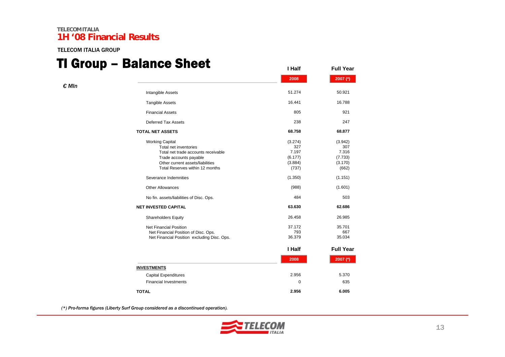TELECOM ITALIA GROUP

### TI Group – Balance Sheet

| I vivup        | – Dalallu <del>e</del> Jileel               | I Half      | <b>Full Year</b> |
|----------------|---------------------------------------------|-------------|------------------|
|                |                                             | 2008        | 2007 (*)         |
| $\epsilon$ MIn |                                             |             |                  |
|                | Intangible Assets                           | 51.274      | 50.921           |
|                | <b>Tangible Assets</b>                      | 16.441      | 16.788           |
|                | <b>Financial Assets</b>                     | 805         | 921              |
|                | <b>Deferred Tax Assets</b>                  | 238         | 247              |
|                | <b>TOTAL NET ASSETS</b>                     | 68.758      | 68.877           |
|                | <b>Working Capital</b>                      | (3.274)     | (3.942)          |
|                | Total net inventories                       | 327         | 307              |
|                | Total net trade accounts receivable         | 7.197       | 7.316            |
|                | Trade accounts payable                      | (6.177)     | (7.733)          |
|                | Other current assets/liabilities            | (3.884)     | (3.170)          |
|                | Total Reserves within 12 months             | (737)       | (662)            |
|                | Severance Indemnities                       | (1.350)     | (1.151)          |
|                | <b>Other Allowances</b>                     | (988)       | (1.601)          |
|                | No fin. assets/liabilities of Disc. Ops.    | 484         | 503              |
|                | <b>NET INVESTED CAPITAL</b>                 | 63.630      | 62.686           |
|                | <b>Shareholders Equity</b>                  | 26.458      | 26.985           |
|                | <b>Net Financial Position</b>               | 37.172      | 35.701           |
|                | Net Financial Position of Disc. Ops.        | 793         | 667              |
|                | Net Financial Position excluding Disc. Ops. | 36.379      | 35.034           |
|                |                                             | I Half      | <b>Full Year</b> |
|                |                                             | 2008        | 2007 $(*)$       |
|                | <b>INVESTMENTS</b>                          |             |                  |
|                | <b>Capital Expenditures</b>                 | 2.956       | 5.370            |
|                | <b>Financial Investments</b>                | $\mathbf 0$ | 635              |
|                | <b>TOTAL</b>                                | 2.956       | 6.005            |

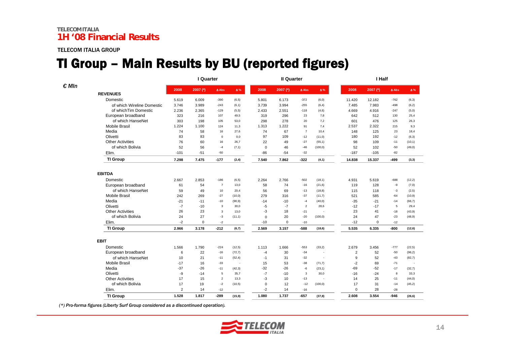#### TELECOM ITALIA GROUP

### TI Group – Main Results by BU (reported figures)

|                |                            |                | I Quarter   |                 |                          |             | <b>Il Quarter</b> |                 |          | I Half         |             |                |            |
|----------------|----------------------------|----------------|-------------|-----------------|--------------------------|-------------|-------------------|-----------------|----------|----------------|-------------|----------------|------------|
| $\epsilon$ Mln |                            | 2008           | $2007$ (*)  | $\triangle$ Abs | $\pmb{\Delta}$ %         | 2008        | 2007 $(*)$        | $\triangle$ Abs | Δ%       | 2008           | 2007 $(*)$  | $\Delta$ Abs   | $\Delta\%$ |
|                | <b>REVENUES</b>            |                |             |                 |                          |             |                   |                 |          |                |             |                |            |
|                | Domestic                   | 5.619          | 6.009       | $-390$          | (6, 5)                   | 5.801       | 6.173             | $-372$          | (6, 0)   | 11.420         | 12.182      | $-762$         | (6,3)      |
|                | of which Wireline Domestic | 3.746          | 3.989       | $-243$          | (6, 1)                   | 3.739       | 3.994             | $-255$          | (6, 4)   | 7.485          | 7.983       | $-498$         | (6,2)      |
|                | of which Tim Domestic      | 2.236          | 2.365       | $-129$          | (5, 5)                   | 2.433       | 2.551             | $-118$          | (4, 6)   | 4.669          | 4.916       | $-247$         | (5,0)      |
|                | European broadband         | 323            | 216         | 107             | 49,5                     | 319         | 296               | 23              | 7,8      | 642            | 512         | 130            | 25,4       |
|                | of which HanseNet          | 303            | 198         | 105             | 53,0                     | 298         | 278               | 20              | 7,2      | 601            | 476         | 125            | 26,3       |
|                | <b>Mobile Brasil</b>       | 1.224          | 1.100       | 124             | 11,3                     | 1.313       | 1.222             | 91              | 7,4      | 2.537          | 2.322       | 215            | 9,3        |
|                | Media                      | 74             | 58          | 16              | 27,6                     | 74          | 67                | $\overline{7}$  | 10,4     | 148            | 125         | 23             | 18,4       |
|                | Olivetti                   | 83             | 83          | $\mathbf 0$     | 0,0                      | 97          | 109               | $-12$           | (11,0)   | 180            | 192         | $-12$          | (6, 3)     |
|                | <b>Other Activities</b>    | 76             | 60          | 16              | 26,7                     | 22          | 49                | $-27$           | (55,1)   | 98             | 109         | $-11$          | (10,1)     |
|                | of which Bolivia           | 52             | 56          | $-4$            | (7, 1)                   | $\mathbf 0$ | 46                | $-46$           | (100, 0) | 52             | 102         | $-50$          | (49, 0)    |
|                | Elim.                      | $-101$         | $-51$       | $-50$           |                          | $-86$       | $-54$             | $-32$           |          | $-187$         | $-105$      | $-82$          |            |
|                | <b>TI Group</b>            | 7.298          | 7.475       | $-177$          | (2, 4)                   | 7.540       | 7.862             | $-322$          | (4,1)    | 14.838         | 15.337      | -499           | (3,3)      |
|                | <b>EBITDA</b>              |                |             |                 |                          |             |                   |                 |          |                |             |                |            |
|                | Domestic                   | 2.667          | 2.853       | $-186$          | (6, 5)                   | 2.264       | 2.766             | $-502$          | (18,1)   | 4.931          | 5.619       | $-688$         | (12,2)     |
|                | European broadband         | 61             | 54          | $\overline{7}$  | 13,0                     | 58          | 74                | $-16$           | (21, 6)  | 119            | 128         | -9             | (7,0)      |
|                | of which HanseNet          | 59             | 49          | 10              | 20,4                     | 56          | 69                | $-13$           | (18, 8)  | 115            | 118         | $-3$           | (2, 5)     |
|                | <b>Mobile Brasil</b>       | 242            | 269         | $-27$           | (10, 0)                  | 279         | 316               | $-37$           | (11,7)   | 521            | 585         | $-64$          | (10, 9)    |
|                | Media                      | $-21$          | $-11$       | $-10$           | (90, 9)                  | $-14$       | $-10$             | $-4$            | (40, 0)  | $-35$          | $-21$       | $-14$          | (66,7)     |
|                | Olivetti                   | $-7$           | $-10$       | 3               | 30,0                     | $-5$        | $-7$              | $\overline{2}$  | 28,6     | $-12$          | $-17$       | $\overline{5}$ | 29,4       |
|                | <b>Other Activities</b>    | 26             | 23          | 3               | 13,0                     | $-3$        | 18                | $-21$           |          | 23             | 41          | $-18$          | (43, 9)    |
|                | of which Bolivia           | 24             | 27          | $-3$            | (11,1)                   | $\Omega$    | 20                | $-20$           | (100, 0) | 24             | 47          | $-23$          | (48, 9)    |
|                | Elim.                      | $-2$           | $\mathsf 0$ | $-2$            |                          | $-10$       | $\mathbf 0$       | $-10$           |          | $-12$          | $\mathbf 0$ | $-12$          |            |
|                | <b>TI Group</b>            | 2.966          | 3.178       | $-212$          | (6,7)                    | 2.569       | 3.157             | $-588$          | (18, 6)  | 5.535          | 6.335       | -800           | (12, 6)    |
|                | <b>EBIT</b>                |                |             |                 |                          |             |                   |                 |          |                |             |                |            |
|                | Domestic                   | 1.566          | 1.790       | $-224$          | (12,5)                   | 1.113       | 1.666             | $-553$          | (33,2)   | 2.679          | 3.456       | $-777$         | (22, 5)    |
|                | European broadband         | 6              | 22          | $-16$           | (72,7)                   | $-4$        | 30                | $-34$           |          | $\overline{2}$ | 52          | $-50$          | (96, 2)    |
|                | of which HanseNet          | 10             | 21          | $-11$           | (52, 4)                  | $-1$        | 31                | $-32$           |          | 9              | 52          | $-43$          | (82,7)     |
|                | Mobile Brasil              | $-17$          | 16          | $-33$           | $\overline{\phantom{a}}$ | 15          | 53                | $-38$           | (71,7)   | $-2$           | 69          | $-71$          |            |
|                | Media                      | $-37$          | $-26$       | $-11$           | (42, 3)                  | $-32$       | $-26$             | $-6$            | (23,1)   | $-69$          | $-52$       | $-17$          | (32,7)     |
|                | Olivetti                   | -9             | $-14$       | 5               | 35,7                     | $-7$        | $-10$             | 3               | 30,0     | $-16$          | $-24$       | 8              | 33,3       |
|                | <b>Other Activities</b>    | 17             | 15          | $\overline{2}$  | 13,3                     | $-3$        | 10                | $-13$           |          | 14             | 25          | $-11$          | (44, 0)    |
|                | of which Bolivia           | 17             | 19          | $-2$            | (10, 5)                  | $\mathbf 0$ | 12                | $-12$           | (100, 0) | 17             | 31          | $-14$          | (45,2)     |
|                | Elim.                      | $\overline{2}$ | 14          | $-12$           |                          | $-2$        | 14                | $-16$           |          | $\Omega$       | 28          | $-28$          |            |
|                | <b>TI Group</b>            | 1.528          | 1.817       | $-289$          | (15, 9)                  | 1.080       | 1.737             | $-657$          | (37, 8)  | 2.608          | 3.554       | -946           | (26, 6)    |